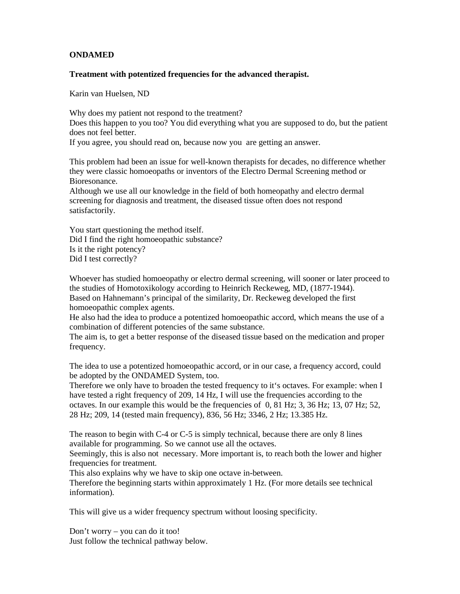## **ONDAMED**

## **Treatment with potentized frequencies for the advanced therapist.**

Karin van Huelsen, ND

Why does my patient not respond to the treatment? Does this happen to you too? You did everything what you are supposed to do, but the patient does not feel better.

If you agree, you should read on, because now you are getting an answer.

This problem had been an issue for well-known therapists for decades, no difference whether they were classic homoeopaths or inventors of the Electro Dermal Screening method or Bioresonance.

Although we use all our knowledge in the field of both homeopathy and electro dermal screening for diagnosis and treatment, the diseased tissue often does not respond satisfactorily.

You start questioning the method itself. Did I find the right homoeopathic substance? Is it the right potency? Did I test correctly?

Whoever has studied homoeopathy or electro dermal screening, will sooner or later proceed to the studies of Homotoxikology according to Heinrich Reckeweg, MD, (1877-1944). Based on Hahnemann's principal of the similarity, Dr. Reckeweg developed the first

homoeopathic complex agents.

He also had the idea to produce a potentized homoeopathic accord, which means the use of a combination of different potencies of the same substance.

The aim is, to get a better response of the diseased tissue based on the medication and proper frequency.

The idea to use a potentized homoeopathic accord, or in our case, a frequency accord, could be adopted by the ONDAMED System, too.

Therefore we only have to broaden the tested frequency to it's octaves. For example: when I have tested a right frequency of 209, 14 Hz, I will use the frequencies according to the octaves. In our example this would be the frequencies of 0, 81 Hz; 3, 36 Hz; 13, 07 Hz; 52, 28 Hz; 209, 14 (tested main frequency), 836, 56 Hz; 3346, 2 Hz; 13.385 Hz.

The reason to begin with C-4 or C-5 is simply technical, because there are only 8 lines available for programming. So we cannot use all the octaves.

Seemingly, this is also not necessary. More important is, to reach both the lower and higher frequencies for treatment.

This also explains why we have to skip one octave in-between.

Therefore the beginning starts within approximately 1 Hz. (For more details see technical information).

This will give us a wider frequency spectrum without loosing specificity.

Don't worry – you can do it too! Just follow the technical pathway below.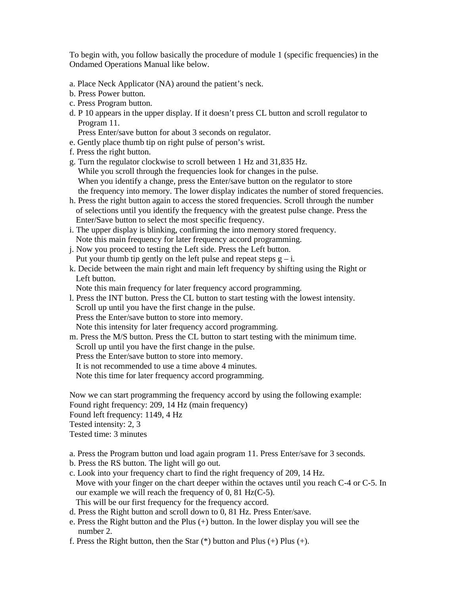To begin with, you follow basically the procedure of module 1 (specific frequencies) in the Ondamed Operations Manual like below.

- a. Place Neck Applicator (NA) around the patient's neck.
- b. Press Power button.
- c. Press Program button.
- d. P 10 appears in the upper display. If it doesn't press CL button and scroll regulator to Program 11.

Press Enter/save button for about 3 seconds on regulator.

- e. Gently place thumb tip on right pulse of person's wrist.
- f. Press the right button.
- g. Turn the regulator clockwise to scroll between 1 Hz and 31,835 Hz. While you scroll through the frequencies look for changes in the pulse. When you identify a change, press the Enter/save button on the regulator to store the frequency into memory. The lower display indicates the number of stored frequencies.
- h. Press the right button again to access the stored frequencies. Scroll through the number of selections until you identify the frequency with the greatest pulse change. Press the Enter/Save button to select the most specific frequency.
- i. The upper display is blinking, confirming the into memory stored frequency. Note this main frequency for later frequency accord programming.
- j. Now you proceed to testing the Left side. Press the Left button. Put your thumb tip gently on the left pulse and repeat steps  $g - i$ .
- k. Decide between the main right and main left frequency by shifting using the Right or Left button.

Note this main frequency for later frequency accord programming.

- l. Press the INT button. Press the CL button to start testing with the lowest intensity. Scroll up until you have the first change in the pulse. Press the Enter/save button to store into memory. Note this intensity for later frequency accord programming.
- m. Press the M/S button. Press the CL button to start testing with the minimum time. Scroll up until you have the first change in the pulse. Press the Enter/save button to store into memory. It is not recommended to use a time above 4 minutes. Note this time for later frequency accord programming.

Now we can start programming the frequency accord by using the following example: Found right frequency: 209, 14 Hz (main frequency) Found left frequency: 1149, 4 Hz

Tested intensity: 2, 3

Tested time: 3 minutes

- a. Press the Program button und load again program 11. Press Enter/save for 3 seconds.
- b. Press the RS button. The light will go out.
- c. Look into your frequency chart to find the right frequency of 209, 14 Hz. Move with your finger on the chart deeper within the octaves until you reach C-4 or C-5. In our example we will reach the frequency of 0, 81 Hz(C-5). This will be our first frequency for the frequency accord.
- d. Press the Right button and scroll down to 0, 81 Hz. Press Enter/save.
- e. Press the Right button and the Plus (+) button. In the lower display you will see the number 2.
- f. Press the Right button, then the Star  $(*)$  button and Plus  $(+)$  Plus  $(+)$ .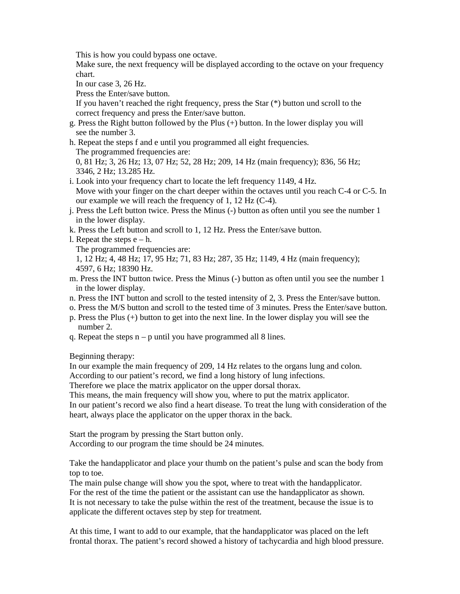This is how you could bypass one octave.

 Make sure, the next frequency will be displayed according to the octave on your frequency chart.

In our case 3, 26 Hz.

Press the Enter/save button.

 If you haven't reached the right frequency, press the Star (\*) button und scroll to the correct frequency and press the Enter/save button.

- g. Press the Right button followed by the Plus (+) button. In the lower display you will see the number 3.
- h. Repeat the steps f and e until you programmed all eight frequencies. The programmed frequencies are: 0, 81 Hz; 3, 26 Hz; 13, 07 Hz; 52, 28 Hz; 209, 14 Hz (main frequency); 836, 56 Hz; 3346, 2 Hz; 13.285 Hz.
- i. Look into your frequency chart to locate the left frequency 1149, 4 Hz. Move with your finger on the chart deeper within the octaves until you reach C-4 or C-5. In our example we will reach the frequency of 1, 12 Hz (C-4).
- j. Press the Left button twice. Press the Minus (-) button as often until you see the number 1 in the lower display.
- k. Press the Left button and scroll to 1, 12 Hz. Press the Enter/save button.
- l. Repeat the steps  $e h$ .

The programmed frequencies are:

 1, 12 Hz; 4, 48 Hz; 17, 95 Hz; 71, 83 Hz; 287, 35 Hz; 1149, 4 Hz (main frequency); 4597, 6 Hz; 18390 Hz.

- m. Press the INT button twice. Press the Minus (-) button as often until you see the number 1 in the lower display.
- n. Press the INT button and scroll to the tested intensity of 2, 3. Press the Enter/save button.
- o. Press the M/S button and scroll to the tested time of 3 minutes. Press the Enter/save button.
- p. Press the Plus (+) button to get into the next line. In the lower display you will see the number 2.
- q. Repeat the steps  $n p$  until you have programmed all 8 lines.

Beginning therapy:

In our example the main frequency of 209, 14 Hz relates to the organs lung and colon.

According to our patient's record, we find a long history of lung infections.

Therefore we place the matrix applicator on the upper dorsal thorax.

This means, the main frequency will show you, where to put the matrix applicator.

In our patient's record we also find a heart disease. To treat the lung with consideration of the heart, always place the applicator on the upper thorax in the back.

Start the program by pressing the Start button only. According to our program the time should be 24 minutes.

Take the handapplicator and place your thumb on the patient's pulse and scan the body from top to toe.

The main pulse change will show you the spot, where to treat with the handapplicator. For the rest of the time the patient or the assistant can use the handapplicator as shown. It is not necessary to take the pulse within the rest of the treatment, because the issue is to applicate the different octaves step by step for treatment.

At this time, I want to add to our example, that the handapplicator was placed on the left frontal thorax. The patient's record showed a history of tachycardia and high blood pressure.